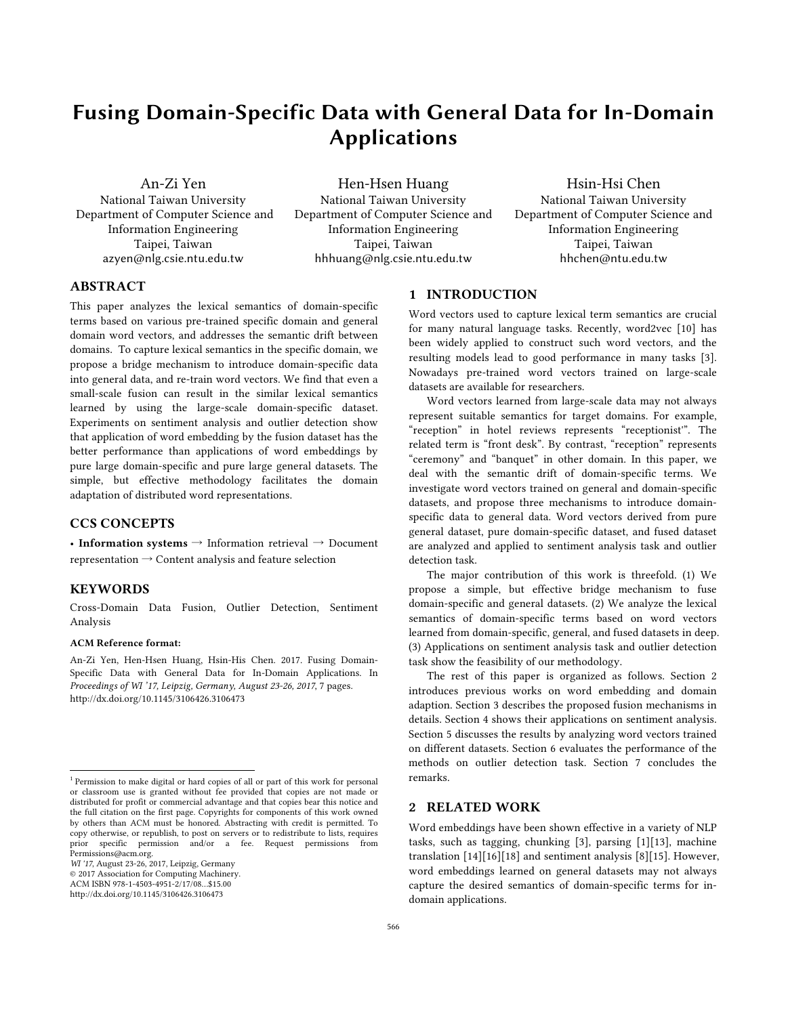# Fusing Domain-Specific Data with General Data for In-Domain Applications

An-Zi Yen National Taiwan University Department of Computer Science and Information Engineering Taipei, Taiwan azyen@nlg.csie.ntu.edu.tw

Hen-Hsen Huang National Taiwan University Department of Computer Science and Information Engineering Taipei, Taiwan hhhuang@nlg.csie.ntu.edu.tw

Hsin-Hsi Chen National Taiwan University Department of Computer Science and Information Engineering Taipei, Taiwan hhchen@ntu.edu.tw

# **ABSTRACT**

This paper analyzes the lexical semantics of domain-specific terms based on various pre-trained specific domain and general domain word vectors, and addresses the semantic drift between domains. To capture lexical semantics in the specific domain, we propose a bridge mechanism to introduce domain-specific data into general data, and re-train word vectors. We find that even a small-scale fusion can result in the similar lexical semantics learned by using the large-scale domain-specific dataset. Experiments on sentiment analysis and outlier detection show that application of word embedding by the fusion dataset has the better performance than applications of word embeddings by pure large domain-specific and pure large general datasets. The simple, but effective methodology facilitates the domain adaptation of distributed word representations.

# CCS CONCEPTS

• Information systems  $\rightarrow$  Information retrieval  $\rightarrow$  Document representation  $\rightarrow$  Content analysis and feature selection

### **KEYWORDS**

Cross-Domain Data Fusion, Outlier Detection, Sentiment Analysis

#### ACM Reference format:

An-Zi Yen, Hen-Hsen Huang, Hsin-His Chen. 2017. Fusing Domain-Specific Data with General Data for In-Domain Applications. In *Proceedings of WI '17, Leipzig, Germany, August 23-26, 2017*, 7 pages. http://dx.doi.org/10.1145/3106426.3106473

*WI '17*, August 23-26, 2017, Leipzig, Germany

© 2017 Association for Computing Machinery.

ACM ISBN 978-1-4503-4951-2/17/08…\$15.00

http://dx.doi.org/10.1145/3106426.3106473

# 1 INTRODUCTION

Word vectors used to capture lexical term semantics are crucial for many natural language tasks. Recently, word2vec [10] has been widely applied to construct such word vectors, and the resulting models lead to good performance in many tasks [3]. Nowadays pre-trained word vectors trained on large-scale datasets are available for researchers.

Word vectors learned from large-scale data may not always represent suitable semantics for target domains. For example, "reception" in hotel reviews represents "receptionist'". The related term is "front desk". By contrast, "reception" represents "ceremony" and "banquet" in other domain. In this paper, we deal with the semantic drift of domain-specific terms. We investigate word vectors trained on general and domain-specific datasets, and propose three mechanisms to introduce domainspecific data to general data. Word vectors derived from pure general dataset, pure domain-specific dataset, and fused dataset are analyzed and applied to sentiment analysis task and outlier detection task.

The major contribution of this work is threefold. (1) We propose a simple, but effective bridge mechanism to fuse domain-specific and general datasets. (2) We analyze the lexical semantics of domain-specific terms based on word vectors learned from domain-specific, general, and fused datasets in deep. (3) Applications on sentiment analysis task and outlier detection task show the feasibility of our methodology.

The rest of this paper is organized as follows. Section 2 introduces previous works on word embedding and domain adaption. Section 3 describes the proposed fusion mechanisms in details. Section 4 shows their applications on sentiment analysis. Section 5 discusses the results by analyzing word vectors trained on different datasets. Section 6 evaluates the performance of the methods on outlier detection task. Section 7 concludes the remarks.

# 2 RELATED WORK

Word embeddings have been shown effective in a variety of NLP tasks, such as tagging, chunking [3], parsing [1][13], machine translation [14][16][18] and sentiment analysis [8][15]. However, word embeddings learned on general datasets may not always capture the desired semantics of domain-specific terms for indomain applications.

<sup>&</sup>lt;sup>1</sup> Permission to make digital or hard copies of all or part of this work for personal or classroom use is granted without fee provided that copies are not made or distributed for profit or commercial advantage and that copies bear this notice and the full citation on the first page. Copyrights for components of this work owned by others than ACM must be honored. Abstracting with credit is permitted. To copy otherwise, or republish, to post on servers or to redistribute to lists, requires prior specific permission and/or a fee. Request permissions Permissions@acm.org.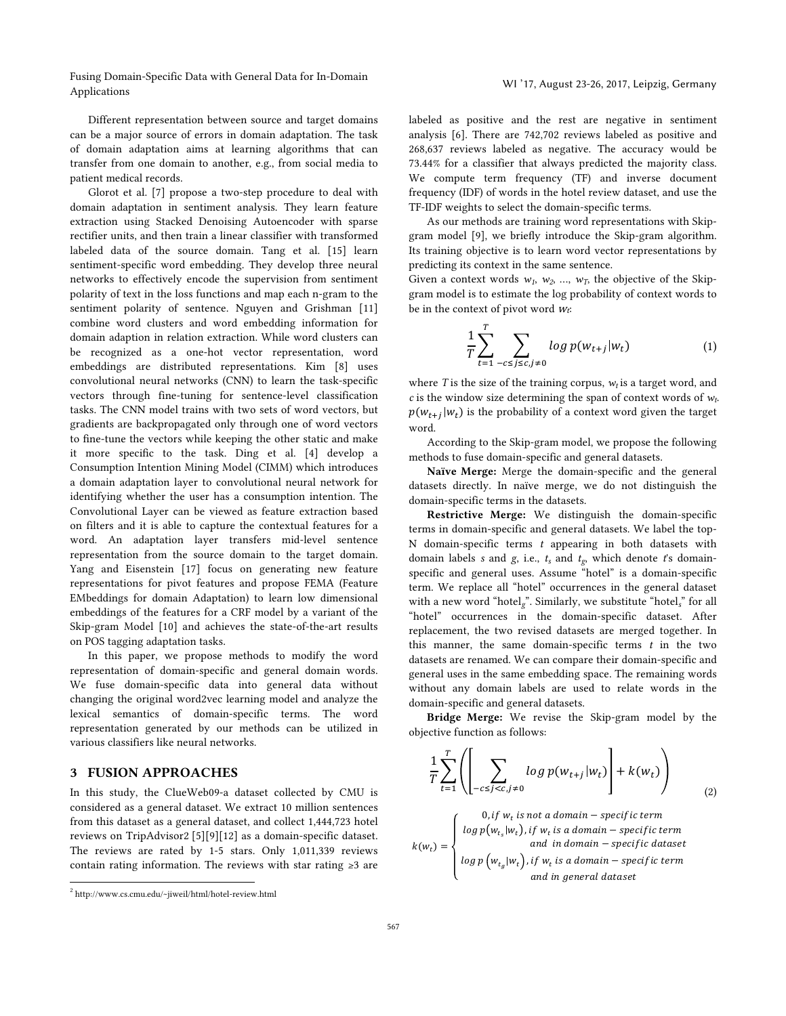Fusing Domain-Specific Data with General Data for In-Domain Applications and December 2014 with Scheman Data for in Domain and Martin Martin Martin 2017, August 23-26, 2017, Leipzig, Germany Applications

Different representation between source and target domains can be a major source of errors in domain adaptation. The task of domain adaptation aims at learning algorithms that can transfer from one domain to another, e.g., from social media to patient medical records.

Glorot et al. [7] propose a two-step procedure to deal with domain adaptation in sentiment analysis. They learn feature extraction using Stacked Denoising Autoencoder with sparse rectifier units, and then train a linear classifier with transformed labeled data of the source domain. Tang et al. [15] learn sentiment-specific word embedding. They develop three neural networks to effectively encode the supervision from sentiment polarity of text in the loss functions and map each n-gram to the sentiment polarity of sentence. Nguyen and Grishman [11] combine word clusters and word embedding information for domain adaption in relation extraction. While word clusters can be recognized as a one-hot vector representation, word embeddings are distributed representations. Kim [8] uses convolutional neural networks (CNN) to learn the task-specific vectors through fine-tuning for sentence-level classification tasks. The CNN model trains with two sets of word vectors, but gradients are backpropagated only through one of word vectors to fine-tune the vectors while keeping the other static and make it more specific to the task. Ding et al. [4] develop a Consumption Intention Mining Model (CIMM) which introduces a domain adaptation layer to convolutional neural network for identifying whether the user has a consumption intention. The Convolutional Layer can be viewed as feature extraction based on filters and it is able to capture the contextual features for a word. An adaptation layer transfers mid-level sentence representation from the source domain to the target domain. Yang and Eisenstein [17] focus on generating new feature representations for pivot features and propose FEMA (Feature EMbeddings for domain Adaptation) to learn low dimensional embeddings of the features for a CRF model by a variant of the Skip-gram Model [10] and achieves the state-of-the-art results on POS tagging adaptation tasks.

In this paper, we propose methods to modify the word representation of domain-specific and general domain words. We fuse domain-specific data into general data without changing the original word2vec learning model and analyze the lexical semantics of domain-specific terms. The word representation generated by our methods can be utilized in various classifiers like neural networks.

# 3 FUSION APPROACHES

In this study, the ClueWeb09-a dataset collected by CMU is considered as a general dataset. We extract 10 million sentences from this dataset as a general dataset, and collect 1,444,723 hotel reviews on TripAdvisor2 [5][9][12] as a domain-specific dataset. The reviews are rated by 1-5 stars. Only 1,011,339 reviews contain rating information. The reviews with star rating ≥3 are labeled as positive and the rest are negative in sentiment analysis [6]. There are 742,702 reviews labeled as positive and 268,637 reviews labeled as negative. The accuracy would be 73.44% for a classifier that always predicted the majority class. We compute term frequency (TF) and inverse document frequency (IDF) of words in the hotel review dataset, and use the TF-IDF weights to select the domain-specific terms.

As our methods are training word representations with Skipgram model [9], we briefly introduce the Skip-gram algorithm. Its training objective is to learn word vector representations by predicting its context in the same sentence.

Given a context words  $w_1$ ,  $w_2$ , ...,  $w_T$ , the objective of the Skipgram model is to estimate the log probability of context words to be in the context of pivot word  $w_t$ :

$$
\frac{1}{T} \sum_{t=1}^{T} \sum_{-c \le j \le c, j \ne 0} \log p(w_{t+j}|w_t)
$$
 (1)

where *T* is the size of the training corpus,  $w_t$  is a target word, and *c* is the window size determining the span of context words of *wt*.  $p(w_{t+i}|w_t)$  is the probability of a context word given the target word.

According to the Skip-gram model, we propose the following methods to fuse domain-specific and general datasets.

Naïve Merge: Merge the domain-specific and the general datasets directly. In naïve merge, we do not distinguish the domain-specific terms in the datasets.

Restrictive Merge: We distinguish the domain-specific terms in domain-specific and general datasets. We label the top-N domain-specific terms *t* appearing in both datasets with domain labels *s* and *g*, i.e., *ts* and *tg*, which denote *t*'s domainspecific and general uses. Assume "hotel" is a domain-specific term. We replace all "hotel" occurrences in the general dataset with a new word "hotel*g*". Similarly, we substitute "hotel*s*" for all "hotel" occurrences in the domain-specific dataset. After replacement, the two revised datasets are merged together. In this manner, the same domain-specific terms *t* in the two datasets are renamed. We can compare their domain-specific and general uses in the same embedding space. The remaining words without any domain labels are used to relate words in the domain-specific and general datasets.

Bridge Merge: We revise the Skip-gram model by the objective function as follows:

$$
\frac{1}{T} \sum_{t=1}^{T} \left( \left[ \sum_{-c \le j < c, j \neq 0} \log p(w_{t+j} | w_t) \right] + k(w_t) \right) \tag{2}
$$
\n
$$
\left( 0, \text{ if } w_t \text{ is not a domain} - \text{specific term} \right)
$$

$$
k(w_t) = \begin{cases} \log p(w_{t_s}|w_t), \text{if } w_t \text{ is a domain} - \text{specific term} \\ \text{and in domain} - \text{specific dataset} \\ \log p(w_{t_g}|w_t), \text{if } w_t \text{ is a domain} - \text{specific term} \\ \text{and in general dataset} \end{cases}
$$

 <sup>2</sup> http://www.cs.cmu.edu/~jiweil/html/hotel-review.html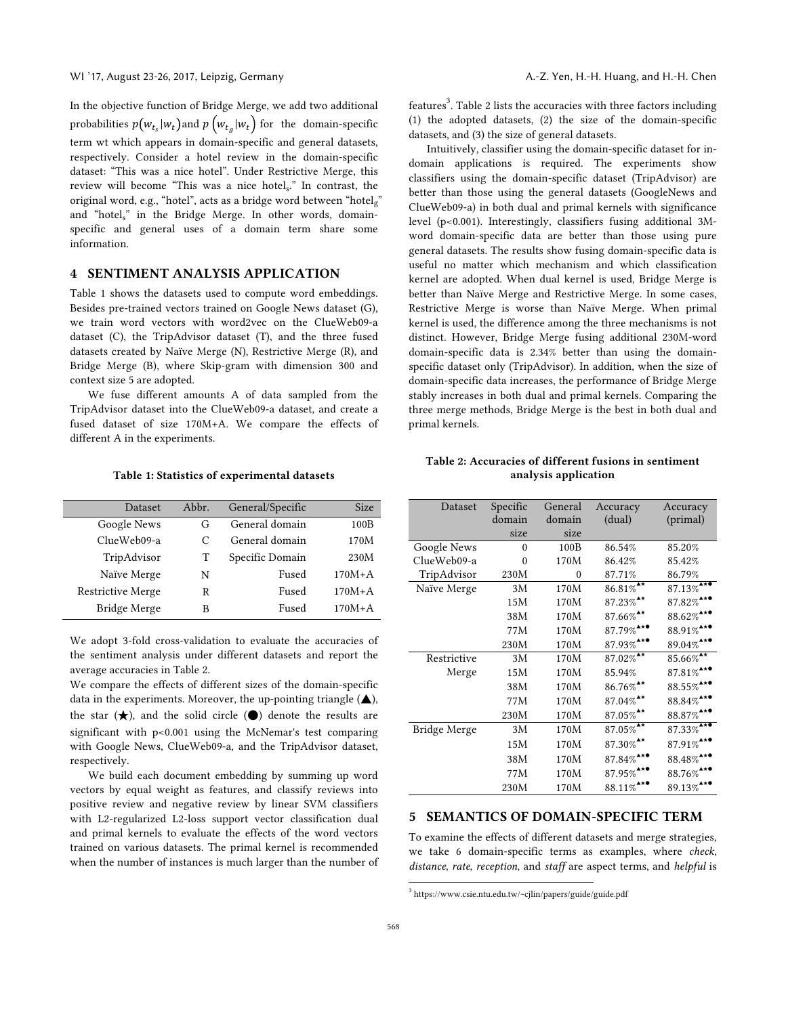In the objective function of Bridge Merge, we add two additional probabilities  $p(w_{t_s} | w_t)$  and  $p(w_{t_a} | w_t)$  for the domain-specific term wt which appears in domain-specific and general datasets, respectively. Consider a hotel review in the domain-specific dataset: "This was a nice hotel". Under Restrictive Merge, this review will become "This was a nice hotels." In contrast, the original word, e.g., "hotel", acts as a bridge word between "hotel $\sigma$ " and "hotel<sub>s</sub>" in the Bridge Merge. In other words, domainspecific and general uses of a domain term share some information.

# 4 SENTIMENT ANALYSIS APPLICATION

Table 1 shows the datasets used to compute word embeddings. Besides pre-trained vectors trained on Google News dataset (G), we train word vectors with word2vec on the ClueWeb09-a dataset (C), the TripAdvisor dataset (T), and the three fused datasets created by Naïve Merge (N), Restrictive Merge (R), and Bridge Merge (B), where Skip-gram with dimension 300 and context size 5 are adopted.

We fuse different amounts A of data sampled from the TripAdvisor dataset into the ClueWeb09-a dataset, and create a fused dataset of size 170M+A. We compare the effects of different A in the experiments.

Table 1: Statistics of experimental datasets

| Dataset           | Abbr.     | General/Specific | <b>Size</b> |
|-------------------|-----------|------------------|-------------|
| Google News       | G         | General domain   | 100B        |
| ClueWeb09-a       | $\subset$ | General domain   | 170M        |
| TripAdvisor       | T         | Specific Domain  | 230M        |
| Naïve Merge       | N         | Fused            | $170M+A$    |
| Restrictive Merge | R         | Fused            | $170M+A$    |
| Bridge Merge      | в         | Fused            | $170M+A$    |

We adopt 3-fold cross-validation to evaluate the accuracies of the sentiment analysis under different datasets and report the average accuracies in Table 2.

We compare the effects of different sizes of the domain-specific data in the experiments. Moreover, the up-pointing triangle  $(\triangle)$ , the star  $(\star)$ , and the solid circle  $(\bullet)$  denote the results are significant with p<0.001 using the McNemar's test comparing with Google News, ClueWeb09-a, and the TripAdvisor dataset, respectively.

We build each document embedding by summing up word vectors by equal weight as features, and classify reviews into positive review and negative review by linear SVM classifiers with L2-regularized L2-loss support vector classification dual and primal kernels to evaluate the effects of the word vectors trained on various datasets. The primal kernel is recommended when the number of instances is much larger than the number of

features<sup>3</sup>. Table 2 lists the accuracies with three factors including (1) the adopted datasets, (2) the size of the domain-specific datasets, and (3) the size of general datasets.

Intuitively, classifier using the domain-specific dataset for indomain applications is required. The experiments show classifiers using the domain-specific dataset (TripAdvisor) are better than those using the general datasets (GoogleNews and ClueWeb09-a) in both dual and primal kernels with significance level (p<0.001). Interestingly, classifiers fusing additional 3Mword domain-specific data are better than those using pure general datasets. The results show fusing domain-specific data is useful no matter which mechanism and which classification kernel are adopted. When dual kernel is used, Bridge Merge is better than Naïve Merge and Restrictive Merge. In some cases, Restrictive Merge is worse than Naïve Merge. When primal kernel is used, the difference among the three mechanisms is not distinct. However, Bridge Merge fusing additional 230M-word domain-specific data is 2.34% better than using the domainspecific dataset only (TripAdvisor). In addition, when the size of domain-specific data increases, the performance of Bridge Merge stably increases in both dual and primal kernels. Comparing the three merge methods, Bridge Merge is the best in both dual and primal kernels.

#### Table 2: Accuracies of different fusions in sentiment analysis application

| Dataset             | Specific | General      | Accuracy                 | Accuracy                  |
|---------------------|----------|--------------|--------------------------|---------------------------|
|                     | domain   | domain       | (dual)                   | (primal)                  |
|                     | size     | size         |                          |                           |
| Google News         | $\theta$ | 100B         | 86.54%                   | 85.20%                    |
| ClueWeb09-a         | $\theta$ | 170M         | 86.42%                   | 85.42%                    |
| TripAdvisor         | 230M     | $\mathbf{0}$ | 87.71%                   | 86.79%                    |
| Naïve Merge         | 3M       | 170M         | $86.81\%$                | $87.13\%$ <sup>4**</sup>  |
|                     | 15M      | 170M         | $87.23\%$ <sup>**</sup>  | $87.82\%$ <sup>***</sup>  |
|                     | 38M      | 170M         | $87.66\%$ <sup>**</sup>  | $88.62\%$ <sup>***</sup>  |
|                     | 77M      | 170M         | $87.79\%$ <sup>***</sup> | $88.91\%$ <sup>***</sup>  |
|                     | 230M     | 170M         | $87.93\%$ <sup>***</sup> | $89.04\%$ <sup>***</sup>  |
| Restrictive         | 3M       | 170M         | $87.02\%$ <sup>**</sup>  | $85.66\%$ <sup>**</sup>   |
| Merge               | 15M      | 170M         | 85.94%                   | $87.81\%$ <sup>****</sup> |
|                     | 38M      | 170M         | $86.76\%$ <sup>**</sup>  | $88.55\%$ <sup>A**</sup>  |
|                     | 77M      | 170M         | $87.04\%$ <sup>**</sup>  | $88.84\%$ <sup>***</sup>  |
|                     | 230M     | 170M         | $87.05\%$ <sup>**</sup>  | $88.87\%$ <sup>***</sup>  |
| <b>Bridge Merge</b> | 3M       | 170M         | $87.05\%$                | $87.33\%$ <sup>***</sup>  |
|                     | 15M      | 170M         | $87.30\%$ <sup>**</sup>  | $87.91\%$ <sup>***</sup>  |
|                     | 38M      | 170M         | $87.84\%$ <sup>***</sup> | $88.48\%$ <sup>***</sup>  |
|                     | 77M      | 170M         | $87.95\%$ <sup>***</sup> | $88.76\%$ <sup>***</sup>  |
|                     | 230M     | 170M         | $88.11\%$ <sup>***</sup> | $89.13\%$ <sup>***</sup>  |

# 5 SEMANTICS OF DOMAIN-SPECIFIC TERM

To examine the effects of different datasets and merge strategies, we take 6 domain-specific terms as examples, where *check*, *distance*, *rate*, *reception*, and *staff* are aspect terms, and *helpful* is

 <sup>3</sup> https://www.csie.ntu.edu.tw/~cjlin/papers/guide/guide.pdf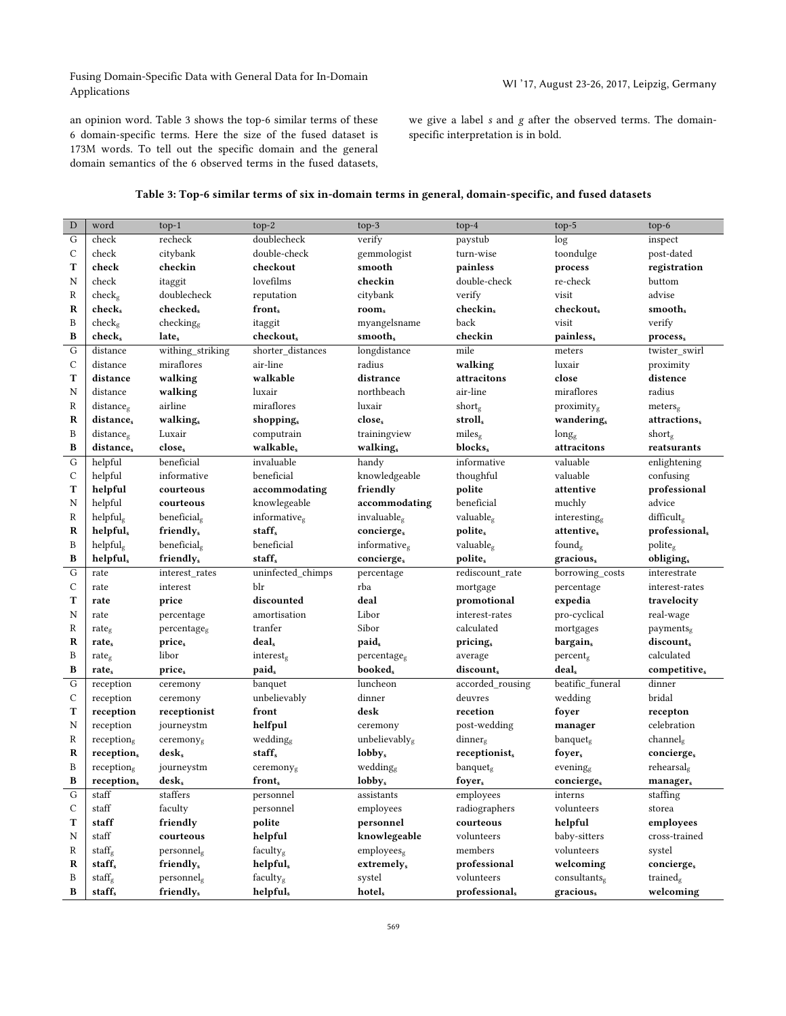Fusing Domain-Specific Data with General Data for In-Domain Pusing Domain-Specific Data with General Data for in-Domain<br>Applications MI '17, August 23-26, 2017, Leipzig, Germany

an opinion word. Table 3 shows the top-6 similar terms of these 6 domain-specific terms. Here the size of the fused dataset is 173M words. To tell out the specific domain and the general domain semantics of the 6 observed terms in the fused datasets, we give a label *s* and *g* after the observed terms. The domainspecific interpretation is in bold.

| Table 3: Top-6 similar terms of six in-domain terms in general, domain-specific, and fused datasets |  |  |
|-----------------------------------------------------------------------------------------------------|--|--|
|                                                                                                     |  |  |
|                                                                                                     |  |  |
|                                                                                                     |  |  |

| $\mathbf D$   | word                   |                         | $top-2$               |                           |                          |                          |                        |
|---------------|------------------------|-------------------------|-----------------------|---------------------------|--------------------------|--------------------------|------------------------|
| G             | check                  | $top-1$<br>recheck      | doublecheck           | $top-3$<br>verify         | $top-4$<br>paystub       | $top-5$                  | $top-6$<br>inspect     |
| С             | check                  | citybank                | double-check          | gemmologist               | turn-wise                | log<br>toondulge         | post-dated             |
| т             | check                  | checkin                 | checkout              | smooth                    |                          |                          |                        |
|               | check                  |                         | lovefilms             | checkin                   | painless<br>double-check | process<br>re-check      | registration           |
| N<br>R        |                        | itaggit<br>doublecheck  |                       |                           |                          | visit                    | buttom<br>advise       |
| R             | $check_g$              | checked,                | reputation            | citybank                  | verify                   |                          |                        |
| B             | check,                 |                         | front,                | room,                     | checkin,<br>back         | checkout,<br>visit       | smooth,                |
|               | $check_{g}$            | checking <sub>e</sub>   | itaggit               | myangelsname              |                          |                          | verify                 |
| B             | $check_{s}$            | late <sub>s</sub>       | checkout,             | smooth,                   | checkin                  | painless,                | process <sub>s</sub>   |
| G             | distance               | withing_striking        | shorter_distances     | longdistance              | mile                     | meters                   | twister swirl          |
| С             | distance               | miraflores              | air-line              | radius                    | walking                  | luxair                   | proximity              |
| т             | distance               | walking                 | walkable              | distrance                 | attracitons              | close                    | distence               |
| N             | distance               | walking                 | luxair                | northbeach                | air-line                 | miraflores               | radius                 |
| R             | distanceg              | airline                 | miraflores            | luxair                    | shortg                   | $proximity_g$            | meters <sub>g</sub>    |
| R             | distance,              | walking <sub>s</sub>    | shopping,             | close,                    | stroll <sub>s</sub>      | wandering,               | attractions,           |
| B             | $distance_{g}$         | Luxair                  | computrain            | trainingview              | miles <sub>g</sub>       | $long_{\rm g}$           | $short_{g}$            |
| B             | distance,              | close,                  | walkable,             | walking <sub>s</sub>      | blocks,                  | attracitons              | reatsurants            |
| G             | helpful                | beneficial              | invaluable            | handy                     | informative              | valuable                 | enlightening           |
| C             | helpful                | informative             | beneficial            | knowledgeable             | thoughful                | valuable                 | confusing              |
| т             | helpful                | courteous               | accommodating         | friendly                  | polite                   | attentive                | professional           |
| N             | helpful                | courteous               | knowlegeable          | accommodating             | beneficial               | muchly                   | advice                 |
| R             | helpful <sub>g</sub>   | beneficial <sub>g</sub> | informative $g$       | invaluable $_{\rm g}$     | valuableg                | interesting <sub>g</sub> | difficultg             |
| R             | helpfuls               | friendly <sub>s</sub>   | staff <sub>s</sub>    | concierges                | polite <sub>s</sub>      | attentive,               | professional,          |
| B             | helpful <sub>g</sub>   | beneficial <sub>g</sub> | beneficial            | informative $_e$          | valuable,                | found <sub>g</sub>       | $\text{policy}_g$      |
| В             | helpful <sub>s</sub>   | friendly <sub>s</sub>   | staff,                | concierges                | polite <sub>s</sub>      | gracious,                | obliging,              |
| G             | rate                   | interest_rates          | uninfected_chimps     | percentage                | rediscount rate          | borrowing_costs          | interestrate           |
| C             | rate                   | interest                | blr                   | rba                       | mortgage                 | percentage               | interest-rates         |
| T             | rate                   | price                   | discounted            | deal                      | promotional              | expedia                  | travelocity            |
| N             | rate                   | percentage              | amortisation          | Libor                     | interest-rates           | pro-cyclical             | real-wage              |
| R             | rate $_{\rm g}$        | percentage <sub>g</sub> | tranfer               | Sibor                     | calculated               | mortgages                | payments <sub>g</sub>  |
| R             | rate,                  | price <sub>s</sub>      | deal,                 | paid,                     | pricing,                 | bargain,                 | discount,              |
| B             | rate <sub>g</sub>      | libor                   | interest <sub>g</sub> | percentage <sub>g</sub>   | average                  | percent <sub>g</sub>     | calculated             |
| B             | rates                  | price <sub>s</sub>      | paid,                 | booked <sub>s</sub>       | discount,                | deal,                    | competitive,           |
| G             | reception              | ceremony                | banquet               | luncheon                  | accorded rousing         | beatific funeral         | dinner                 |
| C             | reception              | ceremony                | unbelievably          | dinner                    | deuvres                  | wedding                  | bridal                 |
| T             | reception              | receptionist            | front                 | desk                      | recetion                 | foyer                    | recepton               |
| N             | reception              | journeystm              | helfpul               | ceremony                  | post-wedding             | manager                  | celebration            |
| R             | reception $_{\rm g}$   | ceremony <sub>g</sub>   | wedding               | unbelievably <sub>g</sub> | $dimner_{g}$             | banquet <sub>g</sub>     | channel <sub>g</sub>   |
| R             | reception,             | $\bf{desk}_s$           | staff <sub>s</sub>    | $\bf{lobby}_{s}$          | receptionist,            | foyer,                   | concierge,             |
| B             | reception <sub>g</sub> | journeystm              | ceremonyg             | wedding $g$               | banquet <sub>g</sub>     | evening <sub>e</sub>     | rehearsal <sub>g</sub> |
| B             | reception,             | $\bf{de}$ sks           | front <sub>s</sub>    | $\bf{lobby}_{s}$          | foyer <sub>s</sub>       | concierge <sub>s</sub>   | manager <sub>s</sub>   |
| G             | staff                  | staffers                | personnel             | assistants                | employees                | interns                  | staffing               |
| $\mathcal{C}$ | staff                  | faculty                 | personnel             | employees                 | radiographers            | volunteers               | storea                 |
| т             | staff                  | friendly                | polite                | personnel                 | courteous                | helpful                  | employees              |
| N             | staff                  | courteous               | helpful               | knowlegeable              | volunteers               | baby-sitters             | cross-trained          |
| R             | staff $_{\rm g}$       | $\rm personal_e$        | faculty <sub>g</sub>  | employees $_e$            | members                  | volunteers               | systel                 |
| R             | staff <sub>s</sub>     | friendly <sub>s</sub>   | helpful,              | extremely,                | professional             | welcoming                | concierge <sub>s</sub> |
| B             | staff $_{\rm g}$       | personnel <sub>g</sub>  | facultyg              | systel                    | volunteers               | consultantsg             | trainedg               |
| B             | staff <sub>s</sub>     | friendly,               |                       | hotel <sub>s</sub>        | professional,            | gracious,                | welcoming              |
|               |                        |                         | helpful,              |                           |                          |                          |                        |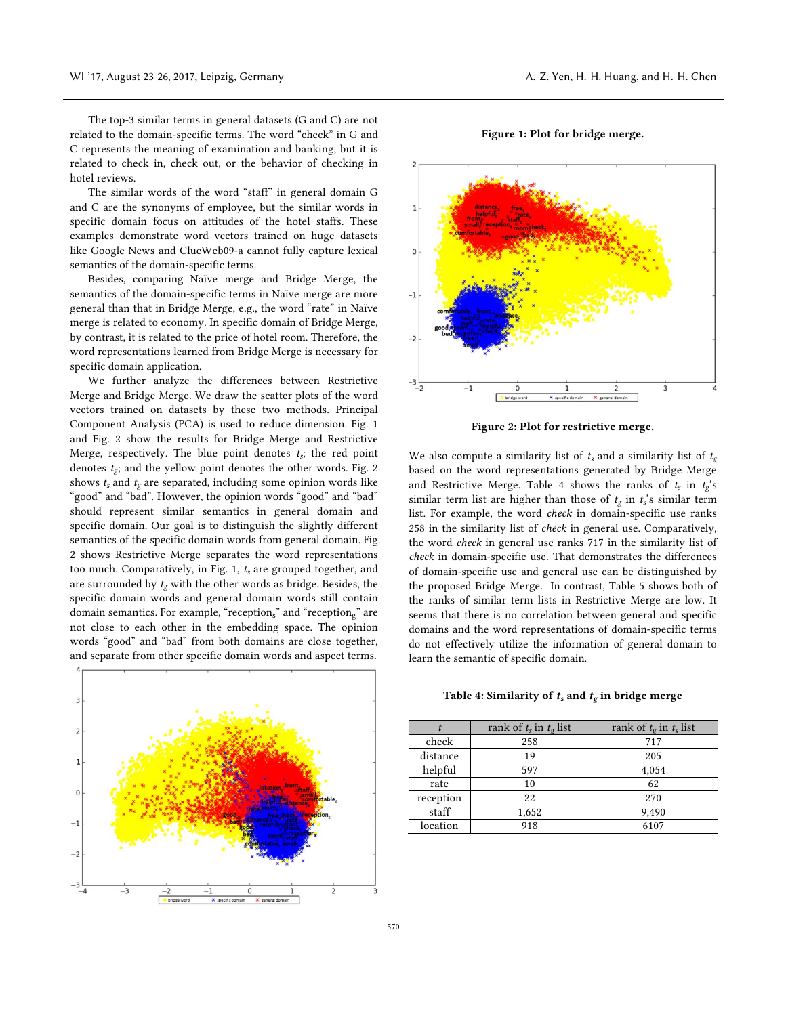The top-3 similar terms in general datasets (G and C) are not related to the domain-specific terms. The word "check" in G and C represents the meaning of examination and banking, but it is related to check in, check out, or the behavior of checking in hotel reviews.

The similar words of the word "staff" in general domain G and C are the synonyms of employee, but the similar words in specific domain focus on attitudes of the hotel staffs. These examples demonstrate word vectors trained on huge datasets like Google News and ClueWeb09-a cannot fully capture lexical semantics of the domain-specific terms.

Besides, comparing Naïve merge and Bridge Merge, the semantics of the domain-specific terms in Naïve merge are more general than that in Bridge Merge, e.g., the word "rate" in Naïve merge is related to economy. In specific domain of Bridge Merge, by contrast, it is related to the price of hotel room. Therefore, the word representations learned from Bridge Merge is necessary for specific domain application.

We further analyze the differences between Restrictive Merge and Bridge Merge. We draw the scatter plots of the word vectors trained on datasets by these two methods. Principal Component Analysis (PCA) is used to reduce dimension. Fig. 1 and Fig. 2 show the results for Bridge Merge and Restrictive Merge, respectively. The blue point denotes  $t_s$ ; the red point denotes  $t_{\varrho}$ ; and the yellow point denotes the other words. Fig. 2 shows  $t_s$  and  $t_g$  are separated, including some opinion words like "good" and "bad". However, the opinion words "good" and "bad" should represent similar semantics in general domain and specific domain. Our goal is to distinguish the slightly different semantics of the specific domain words from general domain. Fig. 2 shows Restrictive Merge separates the word representations too much. Comparatively, in Fig. 1, *ts* are grouped together, and are surrounded by *tg* with the other words as bridge. Besides, the specific domain words and general domain words still contain domain semantics. For example, "receptions" and "receptions" are not close to each other in the embedding space. The opinion words "good" and "bad" from both domains are close together, and separate from other specific domain words and aspect terms.



Figure 1: Plot for bridge merge.



Figure 2: Plot for restrictive merge.

We also compute a similarity list of  $t_s$  and a similarity list of  $t_g$ based on the word representations generated by Bridge Merge and Restrictive Merge. Table 4 shows the ranks of  $t_s$  in  $t_g$ 's similar term list are higher than those of *tg* in *ts*'s similar term list. For example, the word *check* in domain-specific use ranks 258 in the similarity list of *check* in general use. Comparatively, the word *check* in general use ranks 717 in the similarity list of *check* in domain-specific use. That demonstrates the differences of domain-specific use and general use can be distinguished by the proposed Bridge Merge. In contrast, Table 5 shows both of the ranks of similar term lists in Restrictive Merge are low. It seems that there is no correlation between general and specific domains and the word representations of domain-specific terms do not effectively utilize the information of general domain to learn the semantic of specific domain.

#### Table 4: Similarity of  $t_s$  and  $t_g$  in bridge merge

|           | rank of $t_s$ in $t_g$ list | rank of $t_g$ in $t_s$ list |
|-----------|-----------------------------|-----------------------------|
| check     | 258                         | 717                         |
| distance  | 19                          | 205                         |
| helpful   | 597                         | 4,054                       |
| rate      | 10                          | 62                          |
| reception | 22                          | 270                         |
| staff     | 1,652                       | 9.490                       |
| location  | 918                         | 6107                        |
|           |                             |                             |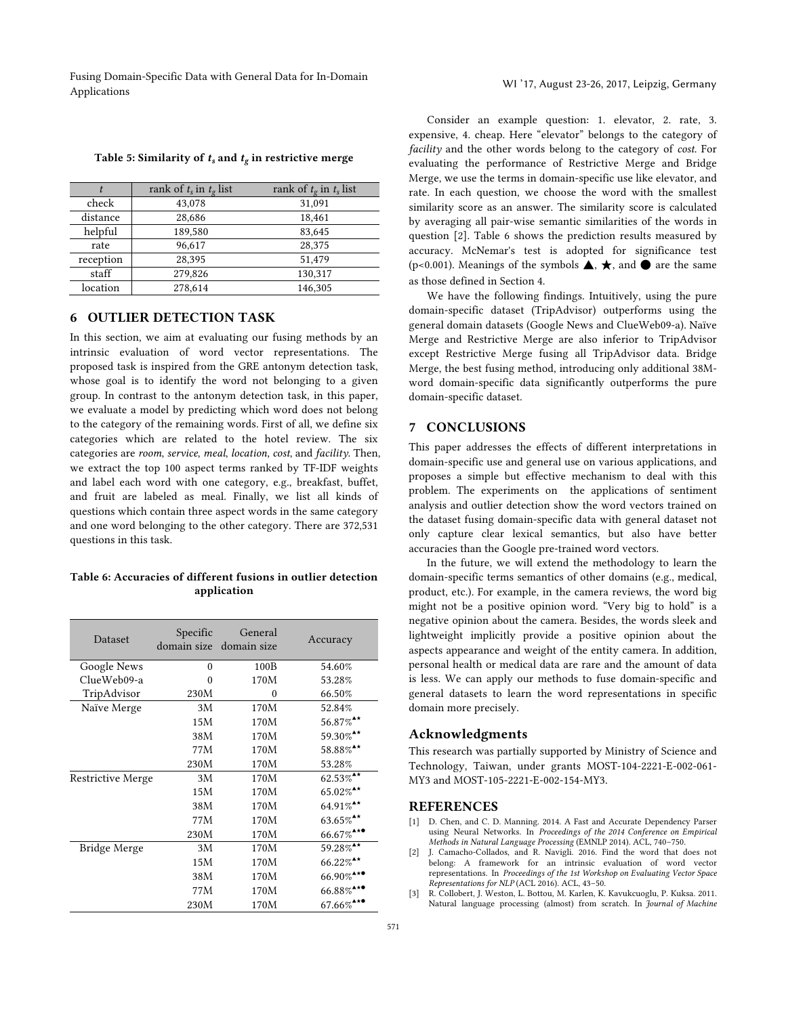Fusing Domain-Specific Data with General Data for In-Domain Applications and Decembration Multiple Content of the Domain Multiple States and Multiple 23-26, 2017, Leipzig, Germany

|           | rank of $t_s$ in $t_g$ list | rank of $t_g$ in $t_s$ list |
|-----------|-----------------------------|-----------------------------|
| check     | 43,078                      | 31,091                      |
| distance  | 28,686                      | 18,461                      |
| helpful   | 189,580                     | 83,645                      |
| rate      | 96,617                      | 28,375                      |
| reception | 28,395                      | 51,479                      |
| staff     | 279,826                     | 130,317                     |
| location  | 278,614                     | 146,305                     |

#### Table 5: Similarity of  $t_s$  and  $t_g$  in restrictive merge

# 6 OUTLIER DETECTION TASK

In this section, we aim at evaluating our fusing methods by an intrinsic evaluation of word vector representations. The proposed task is inspired from the GRE antonym detection task, whose goal is to identify the word not belonging to a given group. In contrast to the antonym detection task, in this paper, we evaluate a model by predicting which word does not belong to the category of the remaining words. First of all, we define six categories which are related to the hotel review. The six categories are *room*, *service*, *meal*, *location*, *cost*, and *facility*. Then, we extract the top 100 aspect terms ranked by TF-IDF weights and label each word with one category, e.g., breakfast, buffet, and fruit are labeled as meal. Finally, we list all kinds of questions which contain three aspect words in the same category and one word belonging to the other category. There are 372,531 questions in this task.

# Table 6: Accuracies of different fusions in outlier detection application

| Dataset             | Specific<br>domain size domain size | General | Accuracy                  |
|---------------------|-------------------------------------|---------|---------------------------|
| Google News         | $\theta$                            | 100B    | 54.60%                    |
| ClueWeb09-a         | 0                                   | 170M    | 53.28%                    |
| TripAdvisor         | 230M                                | 0       | 66.50%                    |
| Naïve Merge         | 3M                                  | 170M    | 52.84%                    |
|                     | 15M                                 | 170M    | $56.87\%$ <sup>**</sup>   |
|                     | 38M                                 | 170M    | 59.30%**                  |
|                     | 77M                                 | 170M    | 58.88%**                  |
|                     | 230M                                | 170M    | 53.28%                    |
| Restrictive Merge   | 3M                                  | 170M    | $62.53\%$ <sup>**</sup>   |
|                     | 15M                                 | 170M    | $65.02\%$ <sup>**</sup>   |
|                     | 38M                                 | 170M    | $64.91\%$ <sup>**</sup>   |
|                     | 77M                                 | 170M    | $63.65\%$ <sup>**</sup>   |
|                     | 230M                                | 170M    | $66.67\%$ <sup>***</sup>  |
| <b>Bridge Merge</b> | 3M                                  | 170M    | 59.28%**                  |
|                     | 15M                                 | 170M    | $66.22\%$ <sup>**</sup>   |
|                     | 38M                                 | 170M    | $66.90\%$ <sup>****</sup> |
|                     | 77M                                 | 170M    | $66.88\%$ <sup>A**</sup>  |
|                     | 230M                                | 170M    | $67.66\%$ <sup>A***</sup> |

Consider an example question: 1. elevator, 2. rate, 3. expensive, 4. cheap. Here "elevator" belongs to the category of *facility* and the other words belong to the category of *cost*. For evaluating the performance of Restrictive Merge and Bridge Merge, we use the terms in domain-specific use like elevator, and rate. In each question, we choose the word with the smallest similarity score as an answer. The similarity score is calculated by averaging all pair-wise semantic similarities of the words in question [2]. Table 6 shows the prediction results measured by accuracy. McNemar's test is adopted for significance test (p<0.001). Meanings of the symbols  $\blacktriangle$ ,  $\star$ , and  $\blacklozenge$  are the same as those defined in Section 4.

We have the following findings. Intuitively, using the pure domain-specific dataset (TripAdvisor) outperforms using the general domain datasets (Google News and ClueWeb09-a). Naïve Merge and Restrictive Merge are also inferior to TripAdvisor except Restrictive Merge fusing all TripAdvisor data. Bridge Merge, the best fusing method, introducing only additional 38Mword domain-specific data significantly outperforms the pure domain-specific dataset.

# 7 CONCLUSIONS

This paper addresses the effects of different interpretations in domain-specific use and general use on various applications, and proposes a simple but effective mechanism to deal with this problem. The experiments on the applications of sentiment analysis and outlier detection show the word vectors trained on the dataset fusing domain-specific data with general dataset not only capture clear lexical semantics, but also have better accuracies than the Google pre-trained word vectors.

In the future, we will extend the methodology to learn the domain-specific terms semantics of other domains (e.g., medical, product, etc.). For example, in the camera reviews, the word big might not be a positive opinion word. "Very big to hold" is a negative opinion about the camera. Besides, the words sleek and lightweight implicitly provide a positive opinion about the aspects appearance and weight of the entity camera. In addition, personal health or medical data are rare and the amount of data is less. We can apply our methods to fuse domain-specific and general datasets to learn the word representations in specific domain more precisely.

### Acknowledgments

This research was partially supported by Ministry of Science and Technology, Taiwan, under grants MOST-104-2221-E-002-061- MY3 and MOST-105-2221-E-002-154-MY3.

# REFERENCES

- [1] D. Chen, and C. D. Manning. 2014. A Fast and Accurate Dependency Parser using Neural Networks. In *Proceedings of the 2014 Conference on Empirical Methods in Natural Language Processing* (EMNLP 2014). ACL, 740–750.
- [2] J. Camacho-Collados, and R. Navigli. 2016. Find the word that does not belong: A framework for an intrinsic evaluation of word vector representations. In *Proceedings of the 1st Workshop on Evaluating Vector Space Representations for NLP* (ACL 2016). ACL, 43–50.
- [3] R. Collobert, J. Weston, L. Bottou, M. Karlen, K. Kavukcuoglu, P. Kuksa. 2011. Natural language processing (almost) from scratch. In *Journal of Machine*